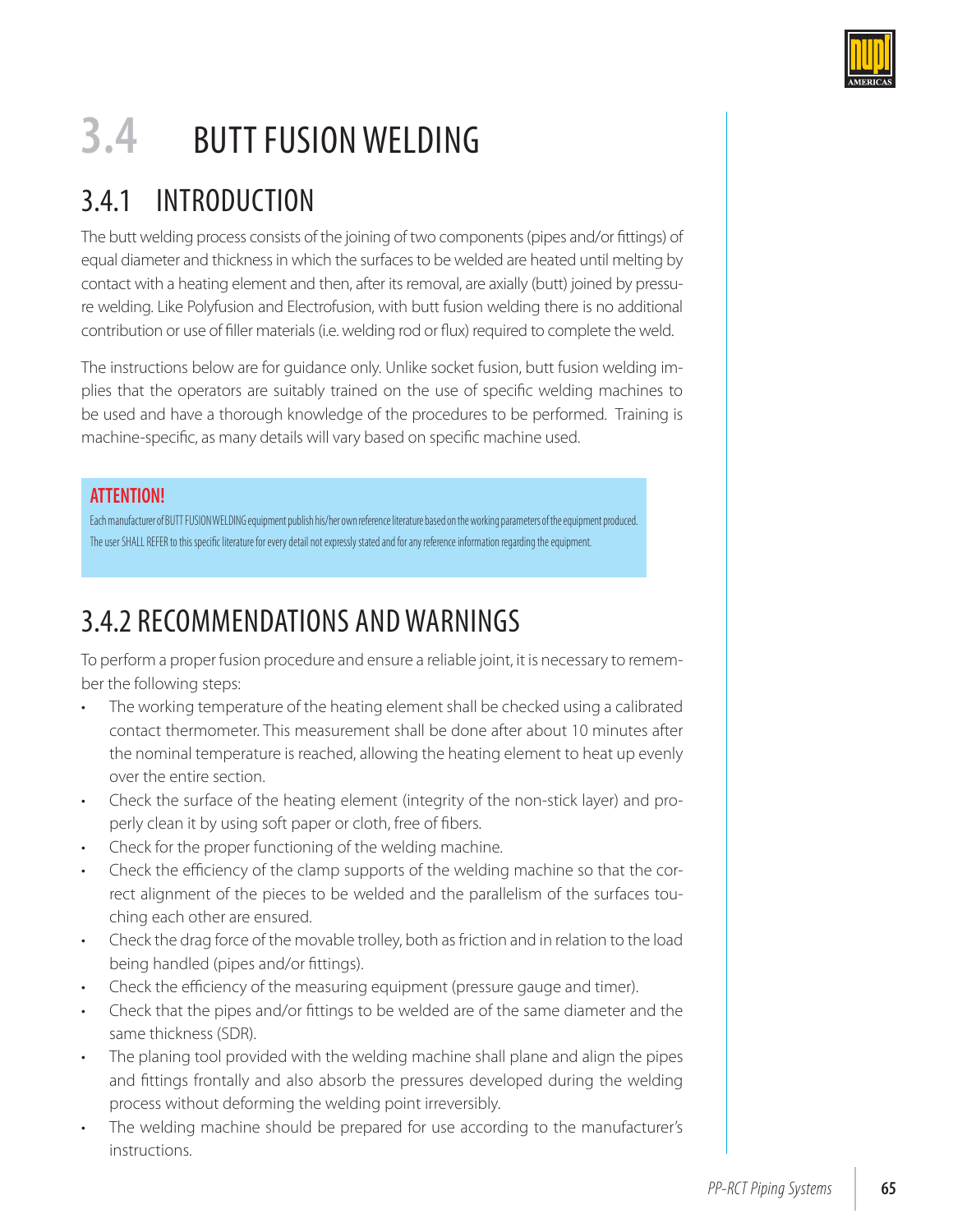

# **3.4** BUTT FUSION WELDING

# 3.4.1 INTRODUCTION

The butt welding process consists of the joining of two components (pipes and/or fittings) of equal diameter and thickness in which the surfaces to be welded are heated until melting by contact with a heating element and then, after its removal, are axially (butt) joined by pressure welding. Like Polyfusion and Electrofusion, with butt fusion welding there is no additional contribution or use of filler materials (i.e. welding rod or flux) required to complete the weld.

The instructions below are for guidance only. Unlike socket fusion, butt fusion welding implies that the operators are suitably trained on the use of specific welding machines to be used and have a thorough knowledge of the procedures to be performed. Training is machine-specific, as many details will vary based on specific machine used.

#### **ATTENTION!**

Each manufacturer of BUTT FUSION WELDING equipment publish his/her own reference literature based on the working parameters of the equipment produced. The user SHALL REFER to this specific literature for every detail not expressly stated and for any reference information regarding the equipment.

# 3.4.2 RECOMMENDATIONS AND WARNINGS

To perform a proper fusion procedure and ensure a reliable joint, it is necessary to remember the following steps:

- The working temperature of the heating element shall be checked using a calibrated contact thermometer. This measurement shall be done after about 10 minutes after the nominal temperature is reached, allowing the heating element to heat up evenly over the entire section.
- Check the surface of the heating element (integrity of the non-stick layer) and properly clean it by using soft paper or cloth, free of fibers.
- Check for the proper functioning of the welding machine.
- Check the efficiency of the clamp supports of the welding machine so that the correct alignment of the pieces to be welded and the parallelism of the surfaces touching each other are ensured.
- Check the drag force of the movable trolley, both as friction and in relation to the load being handled (pipes and/or fittings).
- Check the efficiency of the measuring equipment (pressure gauge and timer).
- Check that the pipes and/or fittings to be welded are of the same diameter and the same thickness (SDR).
- The planing tool provided with the welding machine shall plane and align the pipes and fittings frontally and also absorb the pressures developed during the welding process without deforming the welding point irreversibly.
- The welding machine should be prepared for use according to the manufacturer's instructions.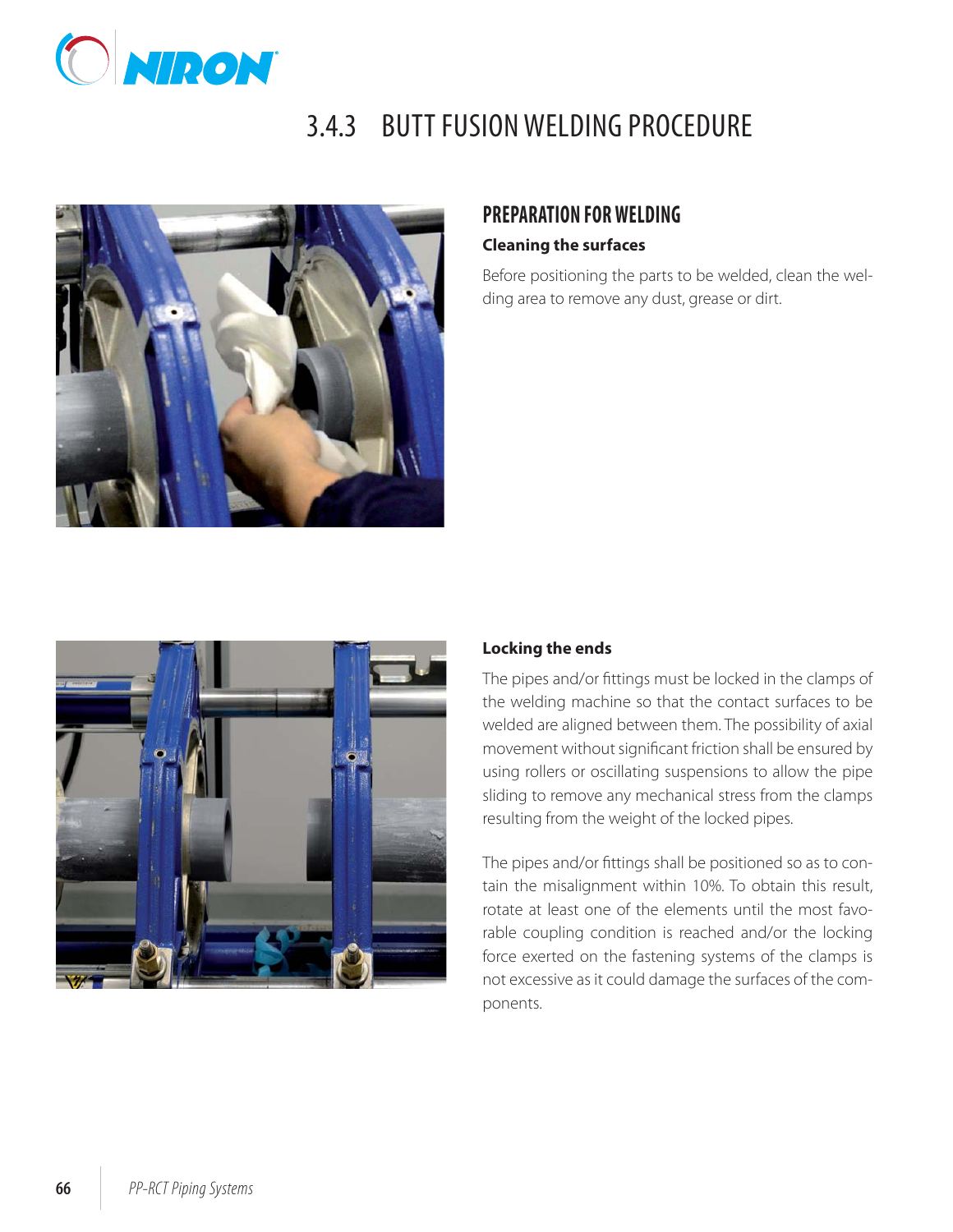

# 3.4.3 BUTT FUSION WELDING PROCEDURE



#### **PREPARATION FOR WELDING**

#### **Cleaning the surfaces**

Before positioning the parts to be welded, clean the welding area to remove any dust, grease or dirt.



#### **Locking the ends**

The pipes and/or fittings must be locked in the clamps of the welding machine so that the contact surfaces to be welded are aligned between them. The possibility of axial movement without significant friction shall be ensured by using rollers or oscillating suspensions to allow the pipe sliding to remove any mechanical stress from the clamps resulting from the weight of the locked pipes.

The pipes and/or fittings shall be positioned so as to contain the misalignment within 10%. To obtain this result, rotate at least one of the elements until the most favorable coupling condition is reached and/or the locking force exerted on the fastening systems of the clamps is not excessive as it could damage the surfaces of the components.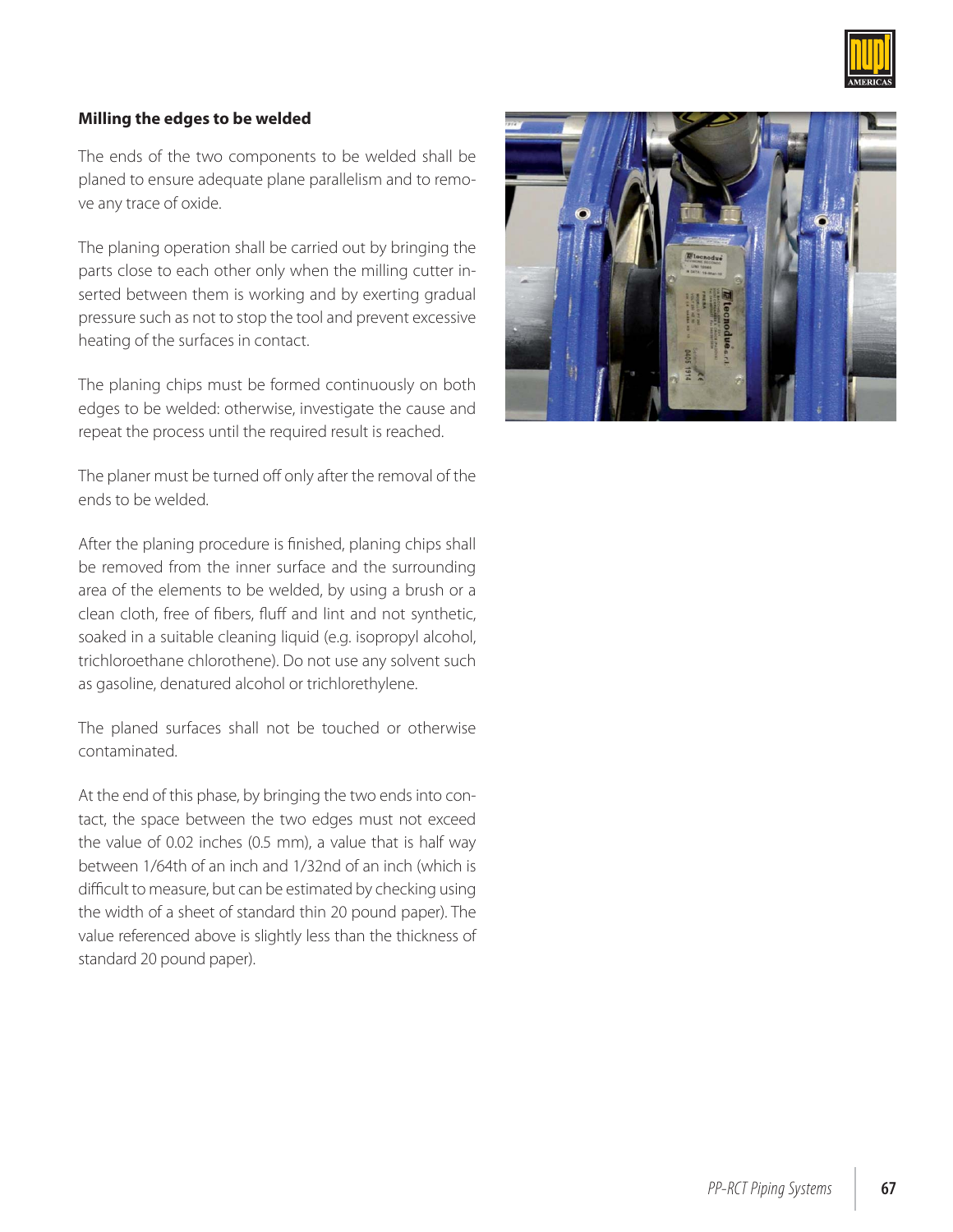

#### **Milling the edges to be welded**

The ends of the two components to be welded shall be planed to ensure adequate plane parallelism and to remove any trace of oxide.

The planing operation shall be carried out by bringing the parts close to each other only when the milling cutter inserted between them is working and by exerting gradual pressure such as not to stop the tool and prevent excessive heating of the surfaces in contact.

The planing chips must be formed continuously on both edges to be welded: otherwise, investigate the cause and repeat the process until the required result is reached.

The planer must be turned off only after the removal of the ends to be welded.

After the planing procedure is finished, planing chips shall be removed from the inner surface and the surrounding area of the elements to be welded, by using a brush or a clean cloth, free of fibers, fluff and lint and not synthetic, soaked in a suitable cleaning liquid (e.g. isopropyl alcohol, trichloroethane chlorothene). Do not use any solvent such as gasoline, denatured alcohol or trichlorethylene.

The planed surfaces shall not be touched or otherwise contaminated.

At the end of this phase, by bringing the two ends into contact, the space between the two edges must not exceed the value of 0.02 inches (0.5 mm), a value that is half way between 1/64th of an inch and 1/32nd of an inch (which is difficult to measure, but can be estimated by checking using the width of a sheet of standard thin 20 pound paper). The value referenced above is slightly less than the thickness of standard 20 pound paper).

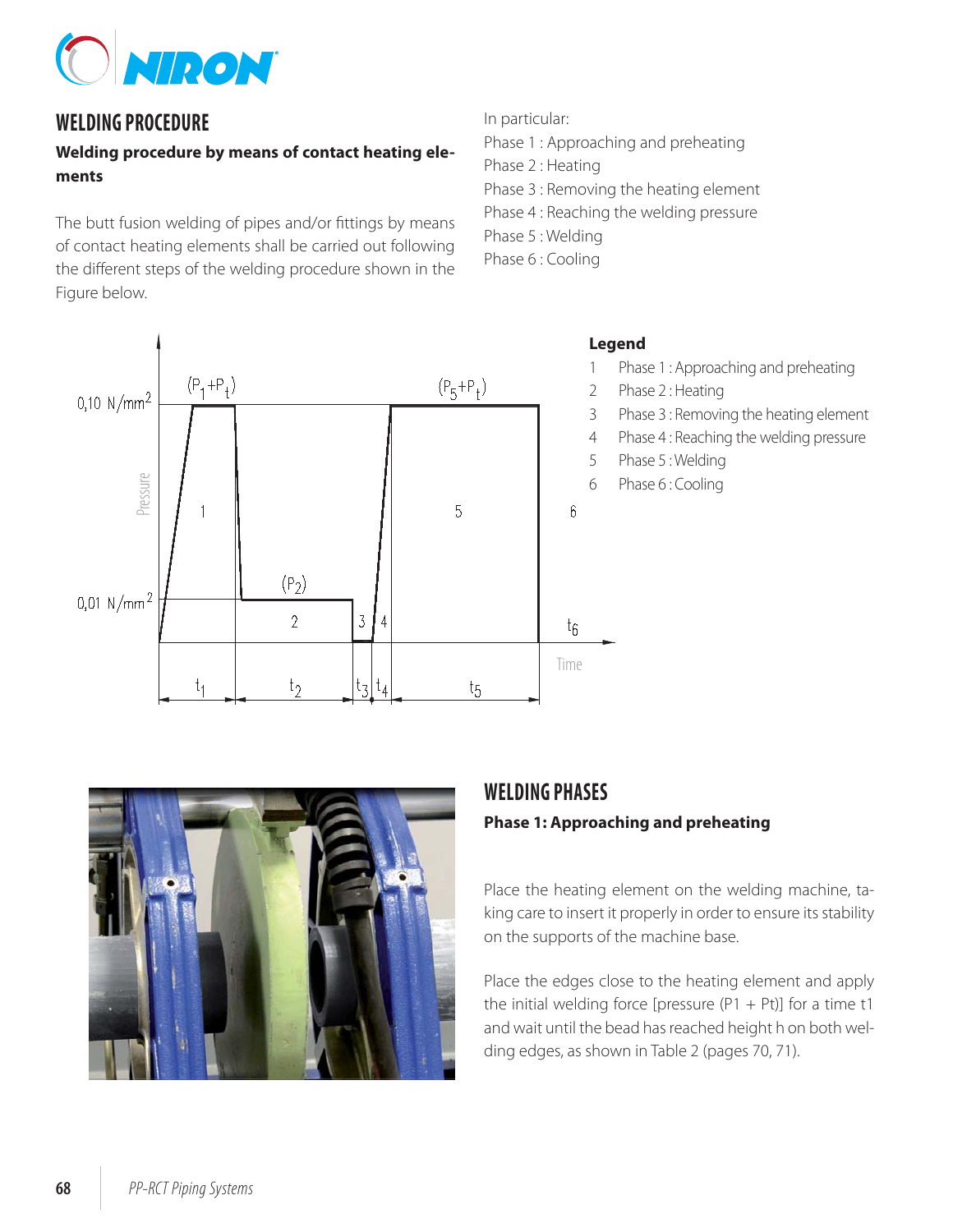

### **WELDING PROCEDURE**

#### **Welding procedure by means of contact heating elements**

The butt fusion welding of pipes and/or fittings by means of contact heating elements shall be carried out following the different steps of the welding procedure shown in the Figure below.

In particular:

- Phase 1 : Approaching and preheating
- Phase 2 : Heating
- Phase 3 : Removing the heating element
- Phase 4 : Reaching the welding pressure
- Phase 5 : Welding
- Phase 6 : Cooling

#### $0,10 N/mm^2$  $(\mathsf{P}_1 \!+\! \mathsf{P}_\dagger)$  $(P_5 + P_1)$ Pressure5  $6\phantom{.}6$  $(P_2)$  $0,01 \, \text{N/mm}^2$  $\overline{\mathcal{L}}$  $\overline{3}$ Δ  $t_{6}$ Time  $t<sub>2</sub>$  $t_A$ t, tι  $t_{5}$

#### **Legend**

- 1 Phase 1 : Approaching and preheating
- 2 Phase 2 : Heating
- 3 Phase 3 : Removing the heating element
- 4 Phase 4 : Reaching the welding pressure
- 5 Phase 5 : Welding
- 6 Phase 6 : Cooling



### **WELDING PHASES**

#### **Phase 1: Approaching and preheating**

Place the heating element on the welding machine, taking care to insert it properly in order to ensure its stability on the supports of the machine base.

Place the edges close to the heating element and apply the initial welding force [pressure ( $P1 + Pt$ )] for a time t1 and wait until the bead has reached height h on both welding edges, as shown in Table 2 (pages 70, 71).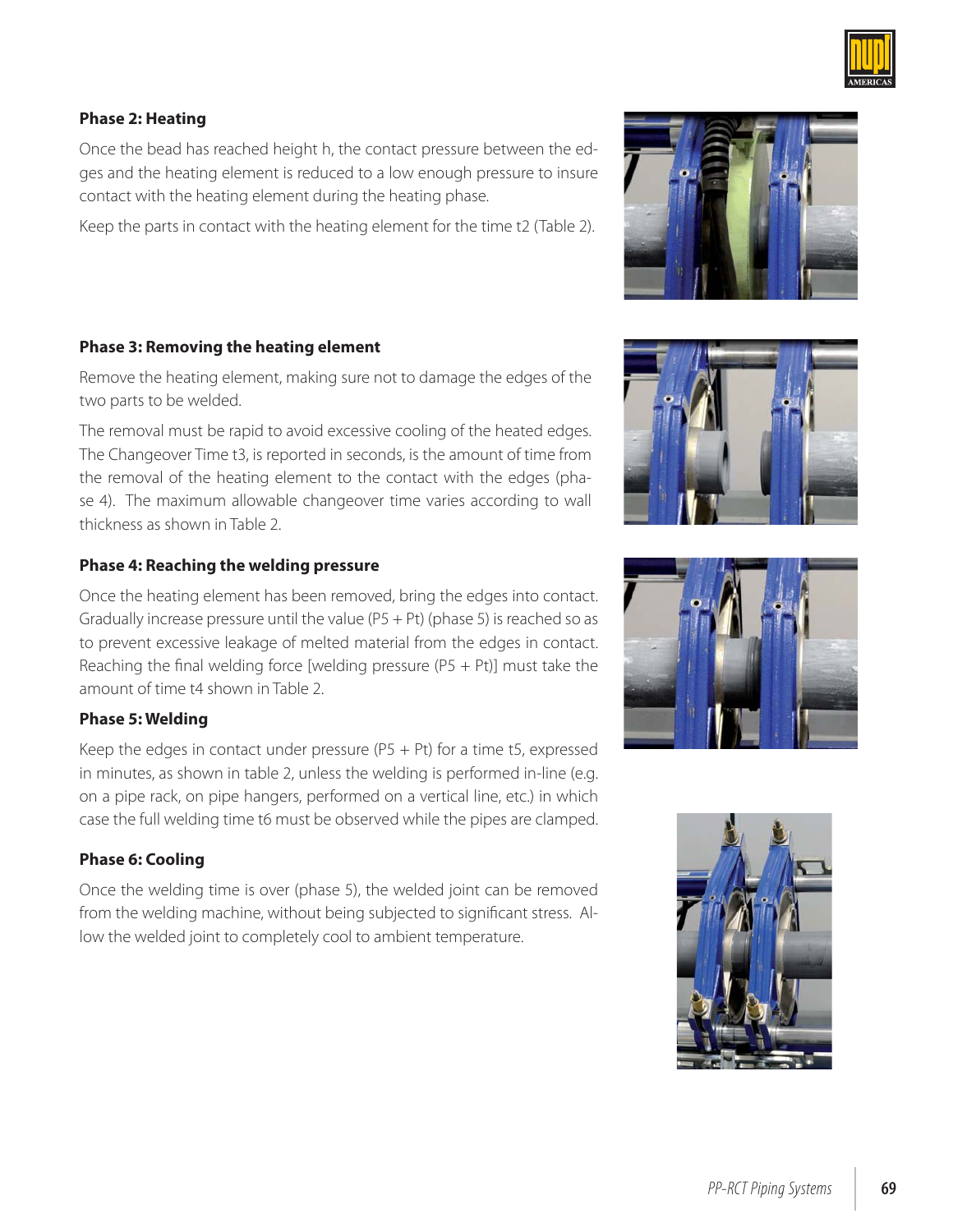#### **Phase 2: Heating**

Once the bead has reached height h, the contact pressure between the edges and the heating element is reduced to a low enough pressure to insure contact with the heating element during the heating phase.

Keep the parts in contact with the heating element for the time t2 (Table 2).

#### **Phase 3: Removing the heating element**

Remove the heating element, making sure not to damage the edges of the two parts to be welded.

The removal must be rapid to avoid excessive cooling of the heated edges. The Changeover Time t3, is reported in seconds, is the amount of time from the removal of the heating element to the contact with the edges (phase 4). The maximum allowable changeover time varies according to wall thickness as shown in Table 2.

#### **Phase 4: Reaching the welding pressure**

Once the heating element has been removed, bring the edges into contact. Gradually increase pressure until the value ( $P5 + Pt$ ) (phase 5) is reached so as to prevent excessive leakage of melted material from the edges in contact. Reaching the final welding force [welding pressure (P5 + Pt)] must take the amount of time t4 shown in Table 2.

#### **Phase 5: Welding**

Keep the edges in contact under pressure (P5 + Pt) for a time t5, expressed in minutes, as shown in table 2, unless the welding is performed in-line (e.g. on a pipe rack, on pipe hangers, performed on a vertical line, etc.) in which case the full welding time t6 must be observed while the pipes are clamped.

#### **Phase 6: Cooling**

Once the welding time is over (phase 5), the welded joint can be removed from the welding machine, without being subjected to significant stress. Allow the welded joint to completely cool to ambient temperature.







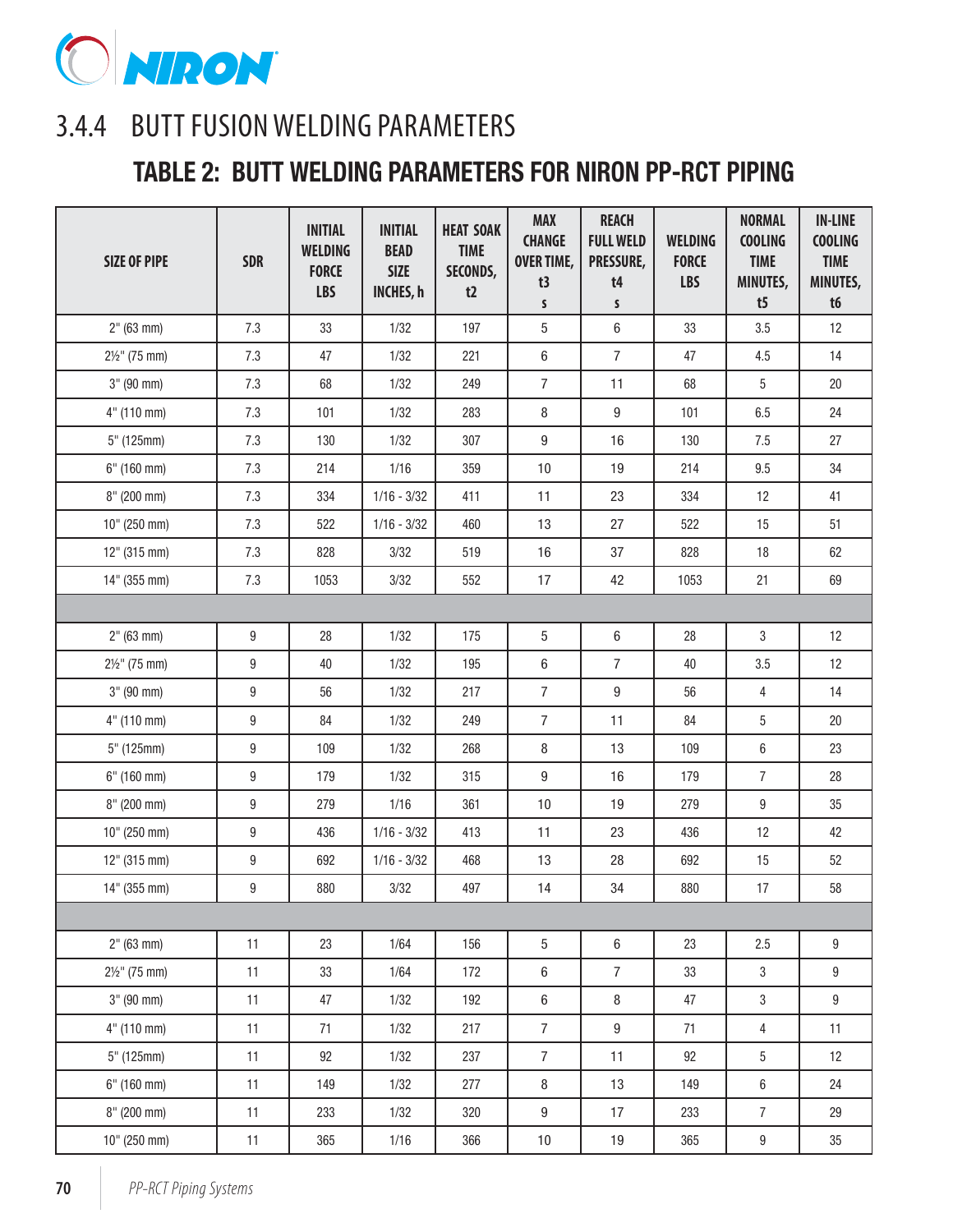

## 3.4.4 BUTT FUSION WELDING PARAMETERS

### **TABLE 2: BUTT WELDING PARAMETERS FOR NIRON PP-RCT PIPING**

| <b>SIZE OF PIPE</b>      | <b>SDR</b> | <b>INITIAL</b><br><b>WELDING</b><br><b>FORCE</b><br><b>LBS</b> | <b>INITIAL</b><br><b>BEAD</b><br><b>SIZE</b><br><b>INCHES, h</b> | <b>HEAT SOAK</b><br><b>TIME</b><br>SECONDS,<br>t2 | <b>MAX</b><br><b>CHANGE</b><br><b>OVER TIME,</b><br>t3<br>$\mathsf{s}$ | <b>REACH</b><br><b>FULL WELD</b><br>PRESSURE,<br>t4<br>S | <b>WELDING</b><br><b>FORCE</b><br><b>LBS</b> | <b>NORMAL</b><br><b>COOLING</b><br><b>TIME</b><br>MINUTES,<br>t5 | <b>IN-LINE</b><br><b>COOLING</b><br><b>TIME</b><br>MINUTES,<br>t6 |
|--------------------------|------------|----------------------------------------------------------------|------------------------------------------------------------------|---------------------------------------------------|------------------------------------------------------------------------|----------------------------------------------------------|----------------------------------------------|------------------------------------------------------------------|-------------------------------------------------------------------|
| 2" (63 mm)               | 7.3        | 33                                                             | 1/32                                                             | 197                                               | 5                                                                      | $\,6\,$                                                  | 33                                           | 3.5                                                              | 12                                                                |
| $2\frac{1}{2}$ " (75 mm) | 7.3        | 47                                                             | 1/32                                                             | 221                                               | $\,6\,$                                                                | $\overline{7}$                                           | 47                                           | 4.5                                                              | 14                                                                |
| $3"$ (90 mm)             | 7.3        | 68                                                             | 1/32                                                             | 249                                               | $\overline{7}$                                                         | 11                                                       | 68                                           | $5\phantom{.0}$                                                  | $20\,$                                                            |
| $4"$ (110 mm)            | 7.3        | 101                                                            | 1/32                                                             | 283                                               | 8                                                                      | $\boldsymbol{9}$                                         | 101                                          | 6.5                                                              | 24                                                                |
| $5"$ (125mm)             | 7.3        | 130                                                            | 1/32                                                             | 307                                               | $\boldsymbol{9}$                                                       | 16                                                       | 130                                          | 7.5                                                              | 27                                                                |
| $6"$ (160 mm)            | 7.3        | 214                                                            | $1/16$                                                           | 359                                               | $10\,$                                                                 | 19                                                       | 214                                          | 9.5                                                              | 34                                                                |
| $8"$ (200 mm)            | 7.3        | 334                                                            | $1/16 - 3/32$                                                    | 411                                               | 11                                                                     | 23                                                       | 334                                          | 12                                                               | 41                                                                |
| $10"$ (250 mm)           | 7.3        | 522                                                            | $1/16 - 3/32$                                                    | 460                                               | 13                                                                     | 27                                                       | 522                                          | 15                                                               | 51                                                                |
| 12" (315 mm)             | 7.3        | 828                                                            | 3/32                                                             | 519                                               | $16\,$                                                                 | 37                                                       | 828                                          | 18                                                               | 62                                                                |
| 14" (355 mm)             | 7.3        | 1053                                                           | 3/32                                                             | 552                                               | 17                                                                     | 42                                                       | 1053                                         | 21                                                               | 69                                                                |
|                          |            |                                                                |                                                                  |                                                   |                                                                        |                                                          |                                              |                                                                  |                                                                   |
| 2" (63 mm)               | 9          | 28                                                             | 1/32                                                             | 175                                               | 5                                                                      | $\,6\,$                                                  | 28                                           | $\mathbf 3$                                                      | 12                                                                |
| $2\frac{1}{2}$ " (75 mm) | 9          | 40                                                             | 1/32                                                             | 195                                               | $\,6\,$                                                                | $\overline{7}$                                           | 40                                           | 3.5                                                              | 12                                                                |
| 3" (90 mm)               | 9          | 56                                                             | 1/32                                                             | 217                                               | $\overline{7}$                                                         | $\boldsymbol{9}$                                         | 56                                           | $\overline{4}$                                                   | 14                                                                |
| $4"$ (110 mm)            | 9          | 84                                                             | 1/32                                                             | 249                                               | $\overline{7}$                                                         | 11                                                       | 84                                           | $\overline{5}$                                                   | $20\,$                                                            |
| $5"$ (125mm)             | 9          | 109                                                            | 1/32                                                             | 268                                               | $\, 8$                                                                 | 13                                                       | 109                                          | $\,6\,$                                                          | 23                                                                |
| $6"$ (160 mm)            | 9          | 179                                                            | 1/32                                                             | 315                                               | $\boldsymbol{9}$                                                       | 16                                                       | 179                                          | $\overline{7}$                                                   | 28                                                                |
| $8"$ (200 mm)            | 9          | 279                                                            | 1/16                                                             | 361                                               | $10\,$                                                                 | 19                                                       | 279                                          | $\boldsymbol{9}$                                                 | $35\,$                                                            |
| 10" (250 mm)             | 9          | 436                                                            | $1/16 - 3/32$                                                    | 413                                               | 11                                                                     | 23                                                       | 436                                          | 12                                                               | 42                                                                |
| $12"$ (315 mm)           | 9          | 692                                                            | $1/16 - 3/32$                                                    | 468                                               | 13                                                                     | 28                                                       | 692                                          | 15                                                               | 52                                                                |
| 14" (355 mm)             | 9          | 880                                                            | 3/32                                                             | 497                                               | 14                                                                     | $34\,$                                                   | 880                                          | 17                                                               | 58                                                                |
|                          |            |                                                                |                                                                  |                                                   |                                                                        |                                                          |                                              |                                                                  |                                                                   |
| 2" (63 mm)               | 11         | 23                                                             | 1/64                                                             | 156                                               | $\overline{5}$                                                         | $\,6\,$                                                  | 23                                           | 2.5                                                              | $\boldsymbol{9}$                                                  |
| $2\frac{1}{2}$ " (75 mm) | 11         | 33                                                             | 1/64                                                             | 172                                               | $\,6\,$                                                                | $\overline{7}$                                           | 33                                           | $\mathfrak{Z}$                                                   | $\boldsymbol{9}$                                                  |
| $3"$ (90 mm)             | 11         | 47                                                             | 1/32                                                             | 192                                               | $\,6\,$                                                                | $\, 8$                                                   | 47                                           | $\mathbf{3}$                                                     | $9\,$                                                             |
| $4"$ (110 mm)            | 11         | 71                                                             | 1/32                                                             | 217                                               | $\overline{7}$                                                         | $\boldsymbol{9}$                                         | 71                                           | $\overline{4}$                                                   | 11                                                                |
| $5"$ (125mm)             | 11         | 92                                                             | 1/32                                                             | 237                                               | $\overline{7}$                                                         | 11                                                       | 92                                           | $5\phantom{.0}$                                                  | 12                                                                |
| $6"$ (160 mm)            | 11         | 149                                                            | 1/32                                                             | 277                                               | $\bf 8$                                                                | 13                                                       | 149                                          | $\,6\,$                                                          | 24                                                                |
| $8"$ (200 mm)            | 11         | 233                                                            | 1/32                                                             | 320                                               | $9\,$                                                                  | 17                                                       | 233                                          | 7 <sup>1</sup>                                                   | 29                                                                |
| 10" (250 mm)             | 11         | 365                                                            | 1/16                                                             | 366                                               | $10\,$                                                                 | $19$                                                     | 365                                          | $9\,$                                                            | $35\,$                                                            |